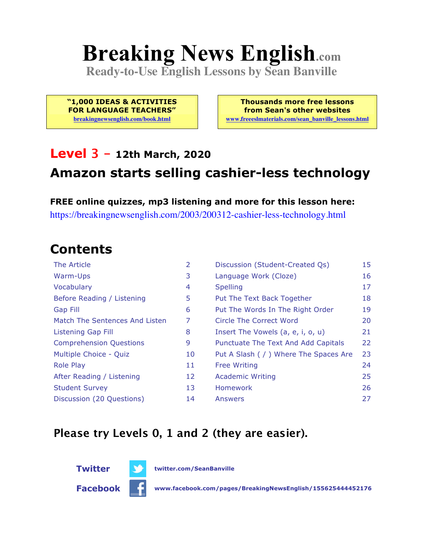# **Breaking News English.com**

**Ready-to-Use English Lessons by Sean Banville**

**"1,000 IDEAS & ACTIVITIES FOR LANGUAGE TEACHERS"**

**breakingnewsenglish.com/book.html**

**Thousands more free lessons from Sean's other websites www.freeeslmaterials.com/sean\_banville\_lessons.html**

#### **Level 3 - 12th March, 2020**

#### **Amazon starts selling cashier-less technology**

**FREE online quizzes, mp3 listening and more for this lesson here:** https://breakingnewsenglish.com/2003/200312-cashier-less-technology.html

#### **Contents**

| The Article                    | 2  | Discussion (Student-Created Qs)        | 15 |
|--------------------------------|----|----------------------------------------|----|
| Warm-Ups                       | 3  | Language Work (Cloze)                  | 16 |
| Vocabulary                     | 4  | <b>Spelling</b>                        | 17 |
| Before Reading / Listening     | 5  | Put The Text Back Together             | 18 |
| <b>Gap Fill</b>                | 6  | Put The Words In The Right Order       | 19 |
| Match The Sentences And Listen | 7  | Circle The Correct Word                | 20 |
| Listening Gap Fill             | 8  | Insert The Vowels (a, e, i, o, u)      | 21 |
| <b>Comprehension Questions</b> | 9  | Punctuate The Text And Add Capitals    | 22 |
| Multiple Choice - Quiz         | 10 | Put A Slash ( / ) Where The Spaces Are | 23 |
| <b>Role Play</b>               | 11 | <b>Free Writing</b>                    | 24 |
| After Reading / Listening      | 12 | <b>Academic Writing</b>                | 25 |
| <b>Student Survey</b>          | 13 | Homework                               | 26 |
| Discussion (20 Questions)      | 14 | Answers                                | 27 |

#### **Please try Levels 0, 1 and 2 (they are easier).**



**Facebook www.facebook.com/pages/BreakingNewsEnglish/155625444452176**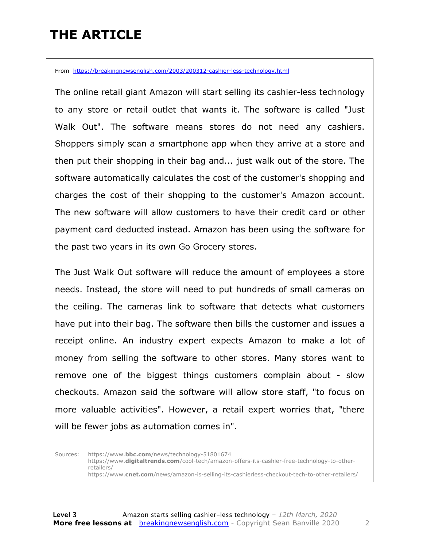### **THE ARTICLE**

From https://breakingnewsenglish.com/2003/200312-cashier-less-technology.html

The online retail giant Amazon will start selling its cashier-less technology to any store or retail outlet that wants it. The software is called "Just Walk Out". The software means stores do not need any cashiers. Shoppers simply scan a smartphone app when they arrive at a store and then put their shopping in their bag and... just walk out of the store. The software automatically calculates the cost of the customer's shopping and charges the cost of their shopping to the customer's Amazon account. The new software will allow customers to have their credit card or other payment card deducted instead. Amazon has been using the software for the past two years in its own Go Grocery stores.

The Just Walk Out software will reduce the amount of employees a store needs. Instead, the store will need to put hundreds of small cameras on the ceiling. The cameras link to software that detects what customers have put into their bag. The software then bills the customer and issues a receipt online. An industry expert expects Amazon to make a lot of money from selling the software to other stores. Many stores want to remove one of the biggest things customers complain about - slow checkouts. Amazon said the software will allow store staff, "to focus on more valuable activities". However, a retail expert worries that, "there will be fewer jobs as automation comes in".

Sources: https://www.**bbc.com**/news/technology-51801674 https://www.**digitaltrends.com**/cool-tech/amazon-offers-its-cashier-free-technology-to-otherretailers/ https://www.**cnet.com**/news/amazon-is-selling-its-cashierless-checkout-tech-to-other-retailers/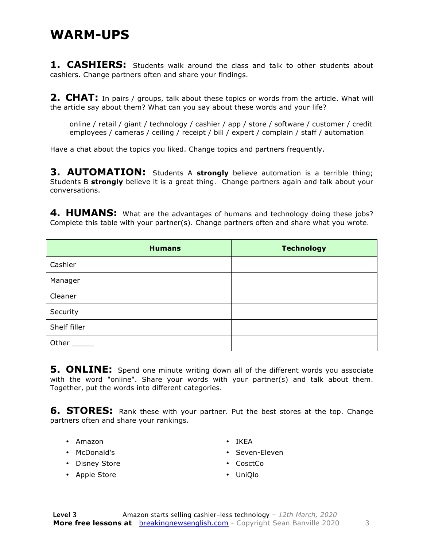#### **WARM-UPS**

1. CASHIERS: Students walk around the class and talk to other students about cashiers. Change partners often and share your findings.

**2. CHAT:** In pairs / groups, talk about these topics or words from the article. What will the article say about them? What can you say about these words and your life?

online / retail / giant / technology / cashier / app / store / software / customer / credit employees / cameras / ceiling / receipt / bill / expert / complain / staff / automation

Have a chat about the topics you liked. Change topics and partners frequently.

**3. AUTOMATION:** Students A **strongly** believe automation is a terrible thing; Students B **strongly** believe it is a great thing. Change partners again and talk about your conversations.

**4. HUMANS:** What are the advantages of humans and technology doing these jobs? Complete this table with your partner(s). Change partners often and share what you wrote.

|              | <b>Humans</b> | <b>Technology</b> |
|--------------|---------------|-------------------|
| Cashier      |               |                   |
| Manager      |               |                   |
| Cleaner      |               |                   |
| Security     |               |                   |
| Shelf filler |               |                   |
| Other        |               |                   |

**5. ONLINE:** Spend one minute writing down all of the different words you associate with the word "online". Share your words with your partner(s) and talk about them. Together, put the words into different categories.

**6. STORES:** Rank these with your partner. Put the best stores at the top. Change partners often and share your rankings.

- Amazon
- McDonald's
- Disney Store
- Apple Store
- IKEA
- Seven-Eleven
- CosctCo
- UniQlo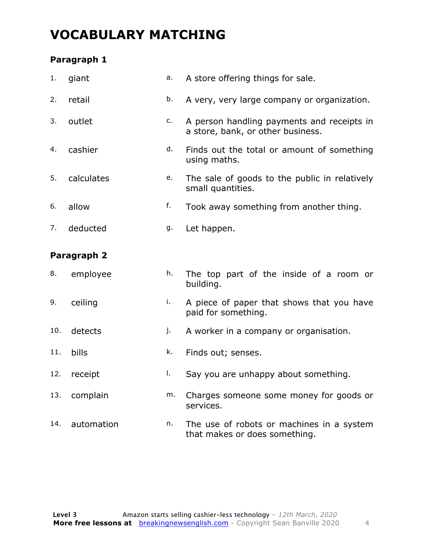### **VOCABULARY MATCHING**

#### **Paragraph 1**

| 1.  | giant       | a. | A store offering things for sale.                                               |
|-----|-------------|----|---------------------------------------------------------------------------------|
| 2.  | retail      | b. | A very, very large company or organization.                                     |
| 3.  | outlet      | c. | A person handling payments and receipts in<br>a store, bank, or other business. |
| 4.  | cashier     | d. | Finds out the total or amount of something<br>using maths.                      |
| 5.  | calculates  | e. | The sale of goods to the public in relatively<br>small quantities.              |
| 6.  | allow       | f. | Took away something from another thing.                                         |
| 7.  | deducted    | g. | Let happen.                                                                     |
|     | Paragraph 2 |    |                                                                                 |
| 8.  | employee    | h. | The top part of the inside of a room or<br>building.                            |
| 9.  | ceiling     | i. | A piece of paper that shows that you have<br>paid for something.                |
| 10. | detects     | j. | A worker in a company or organisation.                                          |

- 11. bills k. Finds out; senses.
- 12. receipt and l. Say you are unhappy about something.
- 13. complain m. Charges someone some money for goods or services.
- 14. automation  $n.$  The use of robots or machines in a system that makes or does something.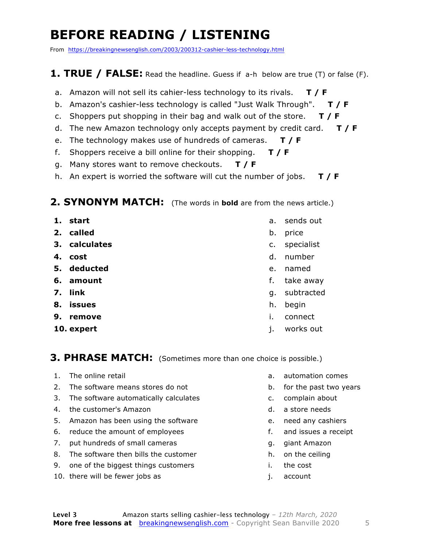### **BEFORE READING / LISTENING**

From https://breakingnewsenglish.com/2003/200312-cashier-less-technology.html

#### **1. TRUE / FALSE:** Read the headline. Guess if a-h below are true (T) or false (F).

- a. Amazon will not sell its cahier-less technology to its rivals. **T / F**
- b. Amazon's cashier-less technology is called "Just Walk Through". **T / F**
- c. Shoppers put shopping in their bag and walk out of the store. **T / F**
- d. The new Amazon technology only accepts payment by credit card. **T / F**
- e. The technology makes use of hundreds of cameras. **T / F**
- f. Shoppers receive a bill online for their shopping. **T / F**
- g. Many stores want to remove checkouts. **T / F**
- h. An expert is worried the software will cut the number of jobs. **T / F**

#### **2. SYNONYM MATCH:** (The words in **bold** are from the news article.)

- **1. start**
- **2. called**
- **3. calculates**
- **4. cost**
- **5. deducted**
- **6. amount**
- **7. link**
- **8. issues**
- **9. remove**
- **10. expert**
- a. sends out
- b. price
- c. specialist
- d. number
- e. named
- f. take away
- g. subtracted
- h. begin
- i. connect
- j. works out

#### **3. PHRASE MATCH:** (Sometimes more than one choice is possible.)

- 1. The online retail
- 2. The software means stores do not
- 3. The software automatically calculates
- 4. the customer's Amazon
- 5. Amazon has been using the software
- 6. reduce the amount of employees
- 7. put hundreds of small cameras
- 8. The software then bills the customer
- 9. one of the biggest things customers
- 10. there will be fewer jobs as
- a. automation comes
- b. for the past two years
- c. complain about
- d. a store needs
- e. need any cashiers
- f. and issues a receipt
- g. giant Amazon
- h. on the ceiling
- i. the cost
- j. account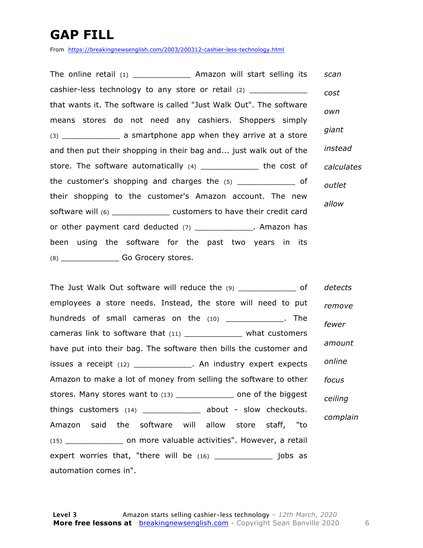### **GAP FILL**

From https://breakingnewsenglish.com/2003/200312-cashier-less-technology.html

The online retail (1) \_\_\_\_\_\_\_\_\_\_\_\_ Amazon will start selling its cashier-less technology to any store or retail (2) that wants it. The software is called "Just Walk Out". The software means stores do not need any cashiers. Shoppers simply (3) \_\_\_\_\_\_\_\_\_\_\_\_ a smartphone app when they arrive at a store and then put their shopping in their bag and... just walk out of the store. The software automatically (4) \_\_\_\_\_\_\_\_\_\_\_\_\_\_ the cost of the customer's shopping and charges the  $(5)$  \_\_\_\_\_\_\_\_\_\_\_\_ of their shopping to the customer's Amazon account. The new software will (6) \_\_\_\_\_\_\_\_\_\_\_\_ customers to have their credit card or other payment card deducted (7) \_\_\_\_\_\_\_\_\_\_\_\_. Amazon has been using the software for the past two years in its (8) \_\_\_\_\_\_\_\_\_\_\_\_ Go Grocery stores. *scan cost own giant instead calculates outlet allow*

The Just Walk Out software will reduce the (9) \_\_\_\_\_\_\_\_\_\_\_\_\_ of employees a store needs. Instead, the store will need to put hundreds of small cameras on the  $(10)$  \_\_\_\_\_\_\_\_\_\_\_\_. The cameras link to software that (11) \_\_\_\_\_\_\_\_\_\_\_\_\_\_\_\_ what customers have put into their bag. The software then bills the customer and issues a receipt (12) \_\_\_\_\_\_\_\_\_\_\_\_. An industry expert expects Amazon to make a lot of money from selling the software to other stores. Many stores want to (13) \_\_\_\_\_\_\_\_\_\_\_\_\_\_ one of the biggest things customers  $(14)$  \_\_\_\_\_\_\_\_\_\_\_\_\_\_ about - slow checkouts. Amazon said the software will allow store staff, "to (15) \_\_\_\_\_\_\_\_\_\_\_\_ on more valuable activities". However, a retail expert worries that, "there will be  $(16)$  \_\_\_\_\_\_\_\_\_\_\_\_\_\_\_\_ jobs as automation comes in". *detects remove fewer amount online focus ceiling complain*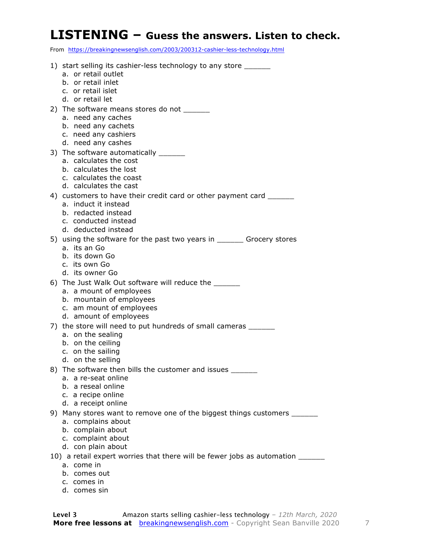### **LISTENING – Guess the answers. Listen to check.**

From https://breakingnewsenglish.com/2003/200312-cashier-less-technology.html

| 1) start selling its cashier-less technology to any store _______               |
|---------------------------------------------------------------------------------|
| a. or retail outlet                                                             |
| b. or retail inlet<br>c. or retail islet                                        |
| d. or retail let                                                                |
| 2) The software means stores do not ______                                      |
| a. need any caches                                                              |
| b. need any cachets                                                             |
| c. need any cashiers                                                            |
| d. need any cashes                                                              |
| 3) The software automatically _______                                           |
| a. calculates the cost                                                          |
| b. calculates the lost                                                          |
| c. calculates the coast<br>d. calculates the cast                               |
| 4) customers to have their credit card or other payment card ________           |
| a. induct it instead                                                            |
| b. redacted instead                                                             |
| c. conducted instead                                                            |
| d. deducted instead                                                             |
| 5) using the software for the past two years in ________ Grocery stores         |
| a. its an Go                                                                    |
| b. its down Go<br>c. its own Go                                                 |
| d. its owner Go                                                                 |
| 6) The Just Walk Out software will reduce the _______                           |
| a. a mount of employees                                                         |
| b. mountain of employees                                                        |
| c. am mount of employees                                                        |
| d. amount of employees                                                          |
| 7) the store will need to put hundreds of small cameras _______                 |
| a. on the sealing                                                               |
| b. on the ceiling<br>c. on the sailing                                          |
| d. on the selling                                                               |
| 8) The software then bills the customer and issues _______                      |
| a. a re-seat online                                                             |
| b. a reseal online                                                              |
| c. a recipe online                                                              |
| d. a receipt online                                                             |
| 9) Many stores want to remove one of the biggest things customers _______       |
| a. complains about                                                              |
| b. complain about<br>c. complaint about                                         |
| d. con plain about                                                              |
| 10) a retail expert worries that there will be fewer jobs as automation _______ |
| a. come in                                                                      |
| b. comes out                                                                    |
| c. comes in                                                                     |

d. comes sin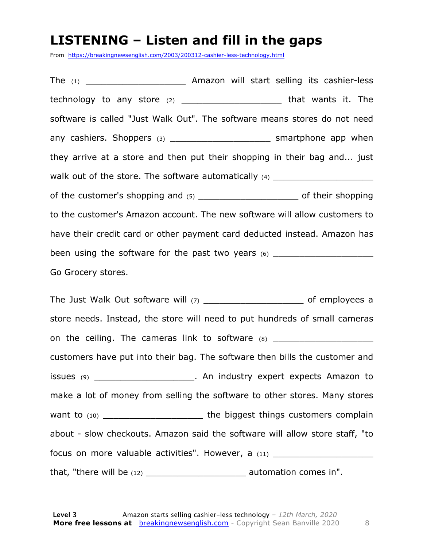#### **LISTENING – Listen and fill in the gaps**

From https://breakingnewsenglish.com/2003/200312-cashier-less-technology.html

The (1) The (1) The (1) Amazon will start selling its cashier-less technology to any store (2) \_\_\_\_\_\_\_\_\_\_\_\_\_\_\_\_\_\_\_\_\_\_\_\_\_\_\_ that wants it. The software is called "Just Walk Out". The software means stores do not need any cashiers. Shoppers  $(3)$  any cashiers app when they arrive at a store and then put their shopping in their bag and... just walk out of the store. The software automatically  $(4)$ of the customer's shopping and  $(5)$  and  $(6)$  and  $(7)$  and  $(8)$  and  $(7)$  and  $(8)$  and  $(9)$  of their shopping to the customer's Amazon account. The new software will allow customers to have their credit card or other payment card deducted instead. Amazon has been using the software for the past two years (6) \_\_\_\_\_\_\_\_\_\_\_\_\_\_\_\_\_\_\_\_\_\_\_\_\_\_\_\_\_ Go Grocery stores.

The Just Walk Out software will (7) \_\_\_\_\_\_\_\_\_\_\_\_\_\_\_\_\_\_\_\_\_\_\_\_\_\_ of employees a store needs. Instead, the store will need to put hundreds of small cameras on the ceiling. The cameras link to software (8) \_\_\_\_\_\_\_\_\_\_\_\_\_\_\_\_\_\_\_\_\_\_\_\_\_\_\_\_\_\_\_ customers have put into their bag. The software then bills the customer and issues (9) \_\_\_\_\_\_\_\_\_\_\_\_\_\_\_\_\_\_\_. An industry expert expects Amazon to make a lot of money from selling the software to other stores. Many stores want to (10) **Example 10** The biggest things customers complain about - slow checkouts. Amazon said the software will allow store staff, "to focus on more valuable activities". However, a (11) \_\_\_\_\_\_\_\_\_\_\_\_\_\_\_\_\_\_\_\_\_\_\_\_\_\_\_\_ that, "there will be  $(12)$  \_\_\_\_\_\_\_\_\_\_\_\_\_\_\_\_\_\_\_\_\_\_\_\_\_\_\_\_\_\_ automation comes in".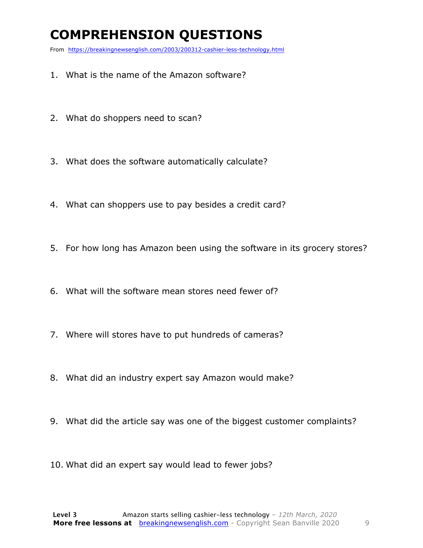### **COMPREHENSION QUESTIONS**

From https://breakingnewsenglish.com/2003/200312-cashier-less-technology.html

- 1. What is the name of the Amazon software?
- 2. What do shoppers need to scan?
- 3. What does the software automatically calculate?
- 4. What can shoppers use to pay besides a credit card?
- 5. For how long has Amazon been using the software in its grocery stores?
- 6. What will the software mean stores need fewer of?
- 7. Where will stores have to put hundreds of cameras?
- 8. What did an industry expert say Amazon would make?
- 9. What did the article say was one of the biggest customer complaints?
- 10. What did an expert say would lead to fewer jobs?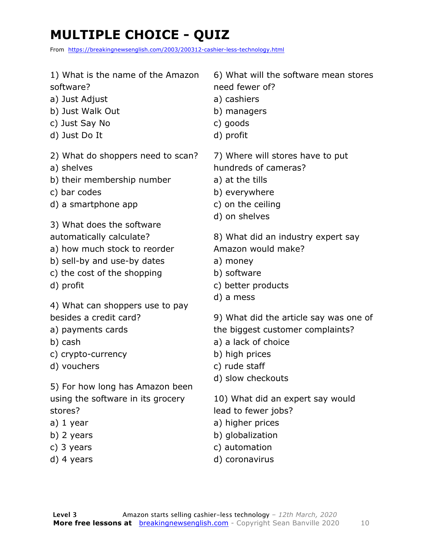### **MULTIPLE CHOICE - QUIZ**

From https://breakingnewsenglish.com/2003/200312-cashier-less-technology.html

- 1) What is the name of the Amazon software?
- a) Just Adjust
- b) Just Walk Out
- c) Just Say No
- d) Just Do It
- 2) What do shoppers need to scan?
- a) shelves
- b) their membership number
- c) bar codes
- d) a smartphone app
- 3) What does the software
- automatically calculate?
- a) how much stock to reorder
- b) sell-by and use-by dates
- c) the cost of the shopping
- d) profit

4) What can shoppers use to pay besides a credit card?

- a) payments cards
- b) cash
- c) crypto-currency
- d) vouchers

5) For how long has Amazon been using the software in its grocery stores?

- a) 1 year
- b) 2 years
- c) 3 years
- d) 4 years

6) What will the software mean stores need fewer of?

- a) cashiers
- b) managers
- c) goods
- d) profit

7) Where will stores have to put hundreds of cameras?

- a) at the tills
- b) everywhere
- c) on the ceiling
- d) on shelves

8) What did an industry expert say Amazon would make?

- a) money
- b) software
- c) better products
- d) a mess

9) What did the article say was one of the biggest customer complaints?

- a) a lack of choice
- b) high prices
- c) rude staff
- d) slow checkouts

10) What did an expert say would lead to fewer jobs?

- a) higher prices
- b) globalization
- c) automation
- d) coronavirus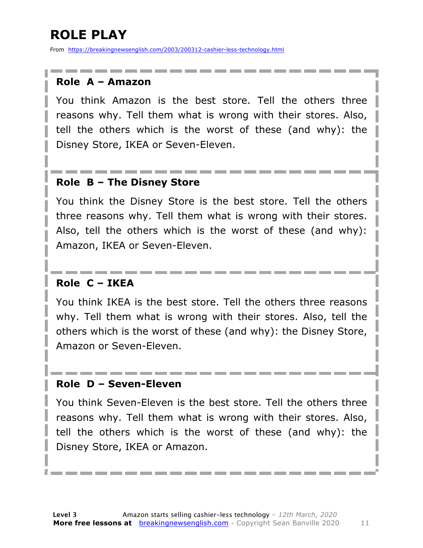### **ROLE PLAY**

From https://breakingnewsenglish.com/2003/200312-cashier-less-technology.html

#### **Role A – Amazon**

You think Amazon is the best store. Tell the others three reasons why. Tell them what is wrong with their stores. Also, tell the others which is the worst of these (and why): the Disney Store, IKEA or Seven-Eleven.

#### **Role B – The Disney Store**

You think the Disney Store is the best store. Tell the others three reasons why. Tell them what is wrong with their stores. Also, tell the others which is the worst of these (and why): Amazon, IKEA or Seven-Eleven.

#### **Role C – IKEA**

You think IKEA is the best store. Tell the others three reasons why. Tell them what is wrong with their stores. Also, tell the others which is the worst of these (and why): the Disney Store, Amazon or Seven-Eleven.

#### **Role D – Seven-Eleven**

You think Seven-Eleven is the best store. Tell the others three reasons why. Tell them what is wrong with their stores. Also, tell the others which is the worst of these (and why): the Disney Store, IKEA or Amazon.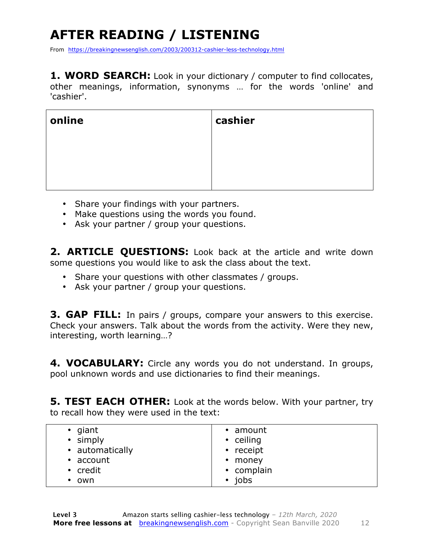## **AFTER READING / LISTENING**

From https://breakingnewsenglish.com/2003/200312-cashier-less-technology.html

1. WORD SEARCH: Look in your dictionary / computer to find collocates, other meanings, information, synonyms … for the words 'online' and 'cashier'.

| online | cashier |
|--------|---------|
|        |         |
|        |         |
|        |         |

- Share your findings with your partners.
- Make questions using the words you found.
- Ask your partner / group your questions.

**2. ARTICLE QUESTIONS:** Look back at the article and write down some questions you would like to ask the class about the text.

- Share your questions with other classmates / groups.
- Ask your partner / group your questions.

**3. GAP FILL:** In pairs / groups, compare your answers to this exercise. Check your answers. Talk about the words from the activity. Were they new, interesting, worth learning…?

**4. VOCABULARY:** Circle any words you do not understand. In groups, pool unknown words and use dictionaries to find their meanings.

**5. TEST EACH OTHER:** Look at the words below. With your partner, try to recall how they were used in the text:

| $\bullet$ giant | • amount     |
|-----------------|--------------|
| • simply        | • ceiling    |
| • automatically | • receipt    |
| $\cdot$ account | • money      |
| • credit        | • complain   |
| $\bullet$ own   | $\cdot$ jobs |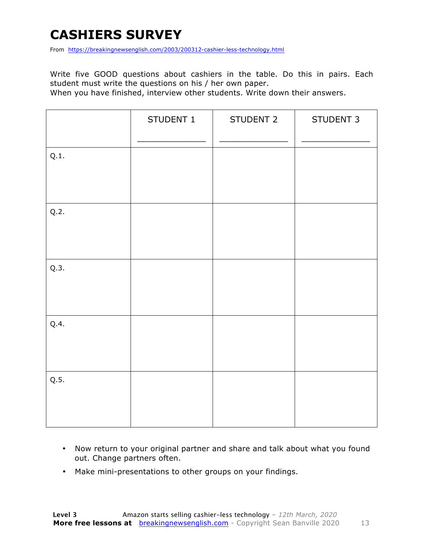### **CASHIERS SURVEY**

From https://breakingnewsenglish.com/2003/200312-cashier-less-technology.html

Write five GOOD questions about cashiers in the table. Do this in pairs. Each student must write the questions on his / her own paper.

When you have finished, interview other students. Write down their answers.

|      | STUDENT 1 | STUDENT 2 | STUDENT 3 |
|------|-----------|-----------|-----------|
| Q.1. |           |           |           |
| Q.2. |           |           |           |
| Q.3. |           |           |           |
| Q.4. |           |           |           |
| Q.5. |           |           |           |

- Now return to your original partner and share and talk about what you found out. Change partners often.
- Make mini-presentations to other groups on your findings.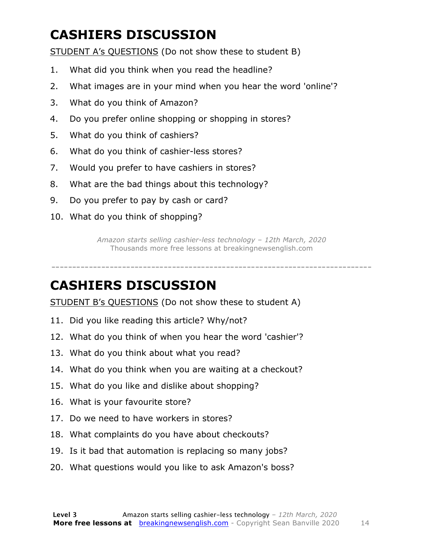### **CASHIERS DISCUSSION**

STUDENT A's QUESTIONS (Do not show these to student B)

- 1. What did you think when you read the headline?
- 2. What images are in your mind when you hear the word 'online'?
- 3. What do you think of Amazon?
- 4. Do you prefer online shopping or shopping in stores?
- 5. What do you think of cashiers?
- 6. What do you think of cashier-less stores?
- 7. Would you prefer to have cashiers in stores?
- 8. What are the bad things about this technology?
- 9. Do you prefer to pay by cash or card?
- 10. What do you think of shopping?

*Amazon starts selling cashier-less technology – 12th March, 2020* Thousands more free lessons at breakingnewsenglish.com

-----------------------------------------------------------------------------

#### **CASHIERS DISCUSSION**

STUDENT B's QUESTIONS (Do not show these to student A)

- 11. Did you like reading this article? Why/not?
- 12. What do you think of when you hear the word 'cashier'?
- 13. What do you think about what you read?
- 14. What do you think when you are waiting at a checkout?
- 15. What do you like and dislike about shopping?
- 16. What is your favourite store?
- 17. Do we need to have workers in stores?
- 18. What complaints do you have about checkouts?
- 19. Is it bad that automation is replacing so many jobs?
- 20. What questions would you like to ask Amazon's boss?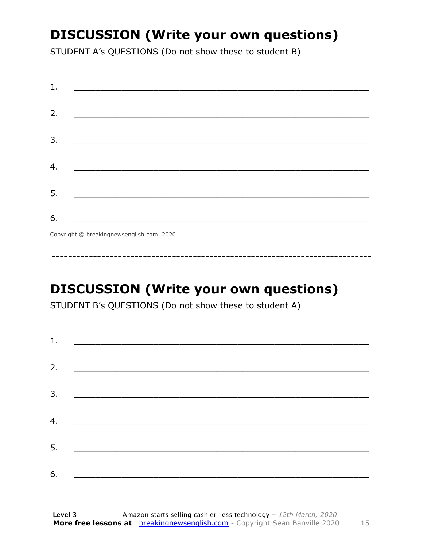### **DISCUSSION (Write your own questions)**

STUDENT A's QUESTIONS (Do not show these to student B)

| 1. |                                                                  |
|----|------------------------------------------------------------------|
|    |                                                                  |
| 2. |                                                                  |
|    |                                                                  |
| 3. |                                                                  |
|    |                                                                  |
| 4. | <u> 1980 - Jan James James Barnett, fransk politik (d. 1980)</u> |
|    |                                                                  |
| 5. |                                                                  |
|    |                                                                  |
| 6. |                                                                  |
|    | Copyright © breakingnewsenglish.com 2020                         |

### **DISCUSSION (Write your own questions)**

STUDENT B's QUESTIONS (Do not show these to student A)

| 1. |                                                                                                                         |  |  |
|----|-------------------------------------------------------------------------------------------------------------------------|--|--|
| 2. |                                                                                                                         |  |  |
|    | <u> 1980 - Andrea Stationer, fransk politiker (d. 1980)</u>                                                             |  |  |
| 3. |                                                                                                                         |  |  |
|    |                                                                                                                         |  |  |
| 4. | <u> 1980 - Jan Samuel Barbara, margaret eta idazlea (h. 1980).</u>                                                      |  |  |
| 5. | <u> 1986 - Johann Stoff, deutscher Stoffen und der Stoffen und der Stoffen und der Stoffen und der Stoffen und der </u> |  |  |
|    |                                                                                                                         |  |  |
| 6. | <u> 1989 - Johann John Stone, market fan it ferskearre fan it ferskearre fan it ferskearre fan it ferskearre fan i</u>  |  |  |

15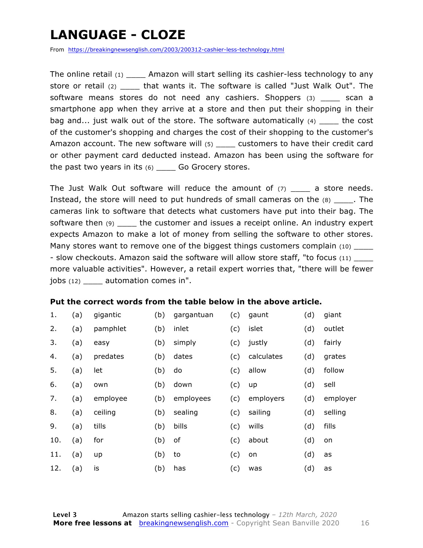### **LANGUAGE - CLOZE**

From https://breakingnewsenglish.com/2003/200312-cashier-less-technology.html

The online retail  $(1)$  Amazon will start selling its cashier-less technology to any store or retail (2) \_\_\_\_ that wants it. The software is called "Just Walk Out". The software means stores do not need any cashiers. Shoppers (3) scan a smartphone app when they arrive at a store and then put their shopping in their bag and... just walk out of the store. The software automatically (4) \_\_\_\_\_ the cost of the customer's shopping and charges the cost of their shopping to the customer's Amazon account. The new software will (5) customers to have their credit card or other payment card deducted instead. Amazon has been using the software for the past two years in its  $(6)$  \_\_\_\_ Go Grocery stores.

The Just Walk Out software will reduce the amount of  $(7)$  a store needs. Instead, the store will need to put hundreds of small cameras on the  $(8)$  The cameras link to software that detects what customers have put into their bag. The software then (9) \_\_\_\_\_ the customer and issues a receipt online. An industry expert expects Amazon to make a lot of money from selling the software to other stores. Many stores want to remove one of the biggest things customers complain (10) - slow checkouts. Amazon said the software will allow store staff, "to focus (11) more valuable activities". However, a retail expert worries that, "there will be fewer jobs (12) automation comes in".

#### **Put the correct words from the table below in the above article.**

| 1.  | (a) | gigantic | (b) | gargantuan | (c) | gaunt      | (d) | giant    |
|-----|-----|----------|-----|------------|-----|------------|-----|----------|
| 2.  | (a) | pamphlet | (b) | inlet      | (c) | islet      | (d) | outlet   |
| 3.  | (a) | easy     | (b) | simply     | (c) | justly     | (d) | fairly   |
| 4.  | (a) | predates | (b) | dates      | (c) | calculates | (d) | grates   |
| 5.  | (a) | let      | (b) | do         | (c) | allow      | (d) | follow   |
| 6.  | (a) | own      | (b) | down       | (c) | up         | (d) | sell     |
| 7.  | (a) | employee | (b) | employees  | (c) | employers  | (d) | employer |
| 8.  | (a) | ceiling  | (b) | sealing    | (c) | sailing    | (d) | selling  |
| 9.  | (a) | tills    | (b) | bills      | (c) | wills      | (d) | fills    |
| 10. | (a) | for      | (b) | of         | (c) | about      | (d) | on       |
| 11. | (a) | up       | (b) | to         | (c) | on         | (d) | as       |
| 12. | (a) | is       | (b) | has        | (c) | was        | (d) | as       |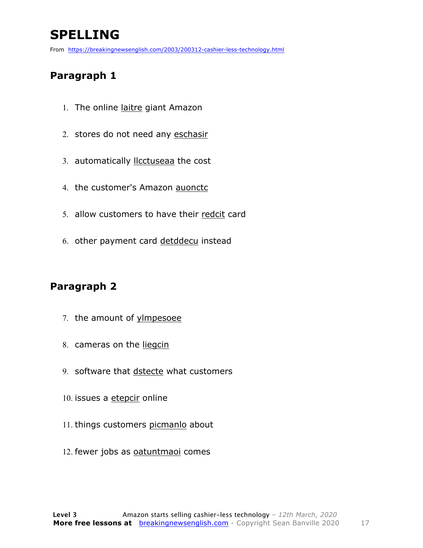### **SPELLING**

From https://breakingnewsenglish.com/2003/200312-cashier-less-technology.html

#### **Paragraph 1**

- 1. The online laitre giant Amazon
- 2. stores do not need any eschasir
- 3. automatically llcctuseaa the cost
- 4. the customer's Amazon auonctc
- 5. allow customers to have their redcit card
- 6. other payment card detddecu instead

#### **Paragraph 2**

- 7. the amount of yimpesoee
- 8. cameras on the liegcin
- 9. software that dstecte what customers
- 10. issues a etepcir online
- 11. things customers picmanlo about
- 12. fewer jobs as oatuntmaoi comes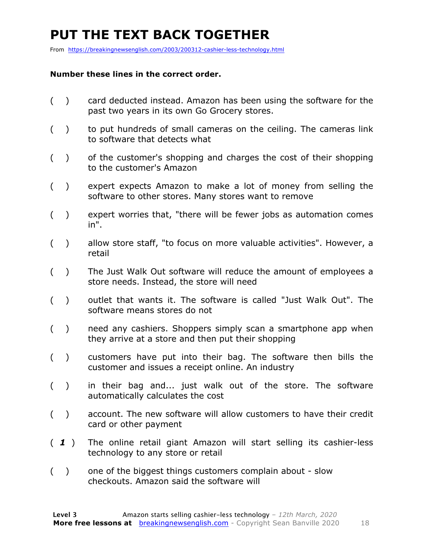### **PUT THE TEXT BACK TOGETHER**

From https://breakingnewsenglish.com/2003/200312-cashier-less-technology.html

#### **Number these lines in the correct order.**

- ( ) card deducted instead. Amazon has been using the software for the past two years in its own Go Grocery stores.
- ( ) to put hundreds of small cameras on the ceiling. The cameras link to software that detects what
- ( ) of the customer's shopping and charges the cost of their shopping to the customer's Amazon
- ( ) expert expects Amazon to make a lot of money from selling the software to other stores. Many stores want to remove
- ( ) expert worries that, "there will be fewer jobs as automation comes in".
- ( ) allow store staff, "to focus on more valuable activities". However, a retail
- ( ) The Just Walk Out software will reduce the amount of employees a store needs. Instead, the store will need
- ( ) outlet that wants it. The software is called "Just Walk Out". The software means stores do not
- ( ) need any cashiers. Shoppers simply scan a smartphone app when they arrive at a store and then put their shopping
- ( ) customers have put into their bag. The software then bills the customer and issues a receipt online. An industry
- ( ) in their bag and... just walk out of the store. The software automatically calculates the cost
- ( ) account. The new software will allow customers to have their credit card or other payment
- ( *1* ) The online retail giant Amazon will start selling its cashier-less technology to any store or retail
- ( ) one of the biggest things customers complain about slow checkouts. Amazon said the software will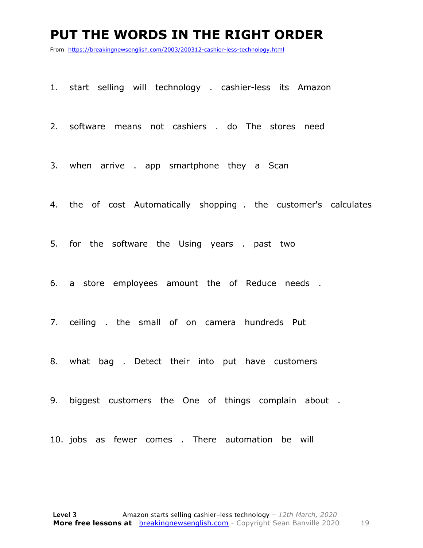#### **PUT THE WORDS IN THE RIGHT ORDER**

From https://breakingnewsenglish.com/2003/200312-cashier-less-technology.html

1. start selling will technology . cashier-less its Amazon

2. software means not cashiers . do The stores need

3. when arrive . app smartphone they a Scan

4. the of cost Automatically shopping . the customer's calculates

5. for the software the Using years . past two

6. a store employees amount the of Reduce needs .

7. ceiling . the small of on camera hundreds Put

8. what bag . Detect their into put have customers

9. biggest customers the One of things complain about .

10. jobs as fewer comes . There automation be will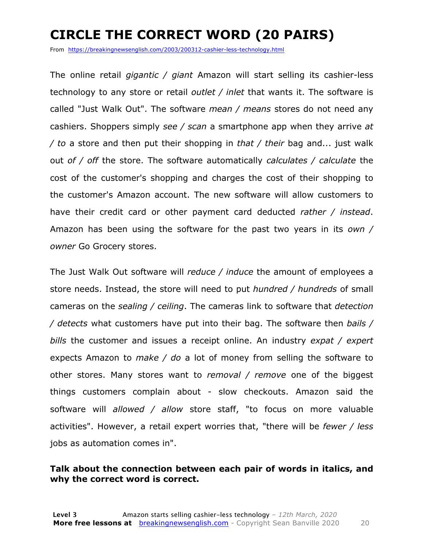### **CIRCLE THE CORRECT WORD (20 PAIRS)**

From https://breakingnewsenglish.com/2003/200312-cashier-less-technology.html

The online retail *gigantic / giant* Amazon will start selling its cashier-less technology to any store or retail *outlet / inlet* that wants it. The software is called "Just Walk Out". The software *mean / means* stores do not need any cashiers. Shoppers simply *see / scan* a smartphone app when they arrive *at / to* a store and then put their shopping in *that / their* bag and... just walk out *of / off* the store. The software automatically *calculates / calculate* the cost of the customer's shopping and charges the cost of their shopping to the customer's Amazon account. The new software will allow customers to have their credit card or other payment card deducted *rather / instead*. Amazon has been using the software for the past two years in its *own / owner* Go Grocery stores.

The Just Walk Out software will *reduce / induce* the amount of employees a store needs. Instead, the store will need to put *hundred / hundreds* of small cameras on the *sealing / ceiling*. The cameras link to software that *detection / detects* what customers have put into their bag. The software then *bails / bills* the customer and issues a receipt online. An industry *expat / expert* expects Amazon to *make / do* a lot of money from selling the software to other stores. Many stores want to *removal / remove* one of the biggest things customers complain about - slow checkouts. Amazon said the software will *allowed / allow* store staff, "to focus on more valuable activities". However, a retail expert worries that, "there will be *fewer / less* jobs as automation comes in".

#### **Talk about the connection between each pair of words in italics, and why the correct word is correct.**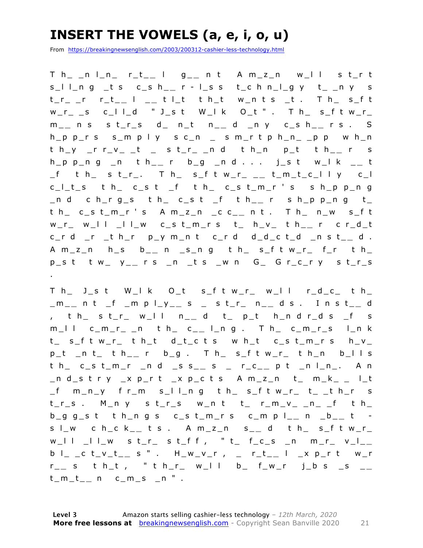### **INSERT THE VOWELS (a, e, i, o, u)**

From https://breakingnewsenglish.com/2003/200312-cashier-less-technology.html

T h\_ \_n l\_n\_ r\_t\_ **\_** l g\_ **\_** n t A m\_z\_n w\_l l s t\_r t s\_l l\_n g \_t s c\_s h\_ **\_** r - l\_s s t\_c h n\_l\_g y t\_ \_n y s t\_r\_ \_r r\_t\_ **\_** l \_ **\_** t l\_t t h\_t w\_n t s \_t . T h\_ s\_f t  $w_r$ \_ s c\_l l\_d " J\_s t W\_l k O\_t " . T h\_ s\_f t w\_r\_ m \_ **\_** n s s t\_r\_s d\_ n\_t n\_ **\_** d \_n y c\_s h\_ **\_** r s . S h\_p p\_r s s\_m p l y s c\_n \_ s m\_r t p h\_n\_ \_p p w h\_n  $t h_y$   $r_y - r_y = t$  st\_r\_ nd t h\_n p\_t t h\_\_ r s h\_p p\_n g \_n t h\_ **\_** r b\_g \_n d . . . j\_s t w\_l k \_ **\_** t \_f t h\_ s t\_r\_. T h\_ s\_f t w\_r\_ \_ **\_** t\_m\_t\_c\_l l y c\_l c\_l\_t\_s t h\_ c\_s t \_f t h\_ c\_s t\_m\_r ' s s h\_p p\_n g \_n d c h\_r g\_s t h\_ c\_s t \_f t h\_ **\_** r s h\_p p\_n g t\_ t h\_ c\_s t\_m\_r ' s A m\_z\_n \_c c\_ **\_** n t . T h\_ n\_w s\_f t w\_r\_ w\_l l \_l l\_w c\_s t\_m\_r s t\_ h\_v\_ t h\_ **\_** r c r\_d\_t c\_r d \_r \_t h\_r p\_y m\_n t c\_r d d\_d\_c t\_d \_n s t\_ **\_** d . A m\_z\_n h\_s b \_ **\_** n \_s\_n g t h\_ s\_f t w\_r\_ f\_r t h\_ p\_s t t w\_ y\_ **\_** r s \_n \_t s \_w n G\_ G r\_c\_r y s t\_r\_s .

T h\_ J\_s t W\_l k O\_t s\_f t w\_r\_ w\_l l r\_d\_c\_ t h\_ \_m\_ **\_** n t \_f \_m p l\_y\_ **\_** s \_ s t\_r\_ n\_ **\_** d s . I n s t\_ **\_** d , t h\_ s t\_r\_ w \_l l n\_ **\_** d t\_ p\_t h\_n d r\_d s \_f s m\_l l c\_m\_r\_ \_n t h\_ c\_ **\_** l\_n g . T h\_ c\_m\_r\_s l\_n k t\_ s\_f t w\_r\_ t h\_t d\_t\_c t s w h\_t c\_s t\_m\_r s h\_v\_ p\_t \_n t\_ t h\_ **\_** r b\_g . T h\_ s\_f t w\_r\_ t h\_n b\_l l s t h\_ c\_s t\_m\_r \_n d \_s s\_ **\_** s \_ r\_c\_ **\_** p t \_n l\_n\_. A n \_n d\_s t r y \_x p\_r t \_x p\_c t s A m\_z\_n t\_ m\_k\_ \_ l\_t \_f m\_n\_y f r\_m s\_l l\_n g t h\_ s\_f t w\_r\_ t\_ \_t h\_r s t\_r\_s . M\_n y s t\_r\_s w\_n t t\_ r\_m\_v\_ \_n\_ \_f t h\_ b\_g g\_s t t h\_n g s c\_s t\_m\_r s c\_m p l\_ **\_** n \_b\_ **\_** t s l\_w c h\_c k\_ **\_** t s . A m\_z\_n s\_ **\_** d t h\_ s\_f t w\_r\_ w\_l l \_l l\_w s t\_r\_ s t\_f f , " t\_ f\_c\_s \_n m\_r\_ v\_l\_ **\_**  b l\_ \_c t\_v\_t\_ **\_** s " . H\_w\_v\_r , \_ r\_t\_ **\_** l \_x p\_r t w\_r r \_ **\_** s t h\_t , " t h\_r\_ w\_l l b\_ f\_w\_r j\_b s \_s \_ **\_**   $t_{m}t_{m}$  n c\_m\_s \_n " .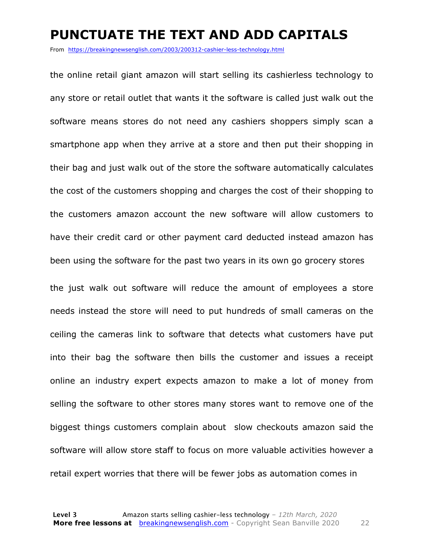#### **PUNCTUATE THE TEXT AND ADD CAPITALS**

From https://breakingnewsenglish.com/2003/200312-cashier-less-technology.html

the online retail giant amazon will start selling its cashierless technology to any store or retail outlet that wants it the software is called just walk out the software means stores do not need any cashiers shoppers simply scan a smartphone app when they arrive at a store and then put their shopping in their bag and just walk out of the store the software automatically calculates the cost of the customers shopping and charges the cost of their shopping to the customers amazon account the new software will allow customers to have their credit card or other payment card deducted instead amazon has been using the software for the past two years in its own go grocery stores the just walk out software will reduce the amount of employees a store needs instead the store will need to put hundreds of small cameras on the ceiling the cameras link to software that detects what customers have put into their bag the software then bills the customer and issues a receipt online an industry expert expects amazon to make a lot of money from selling the software to other stores many stores want to remove one of the biggest things customers complain about slow checkouts amazon said the software will allow store staff to focus on more valuable activities however a retail expert worries that there will be fewer jobs as automation comes in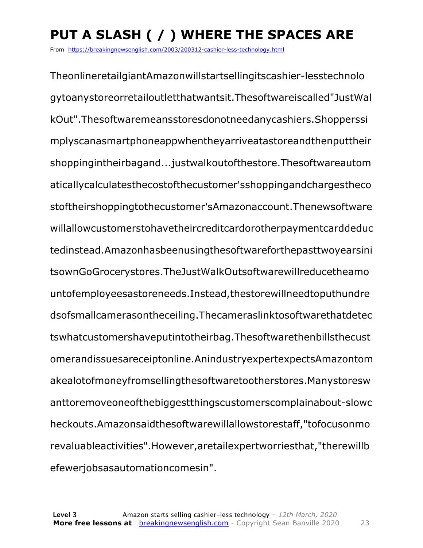## **PUT A SLASH ( / ) WHERE THE SPACES ARE**

From https://breakingnewsenglish.com/2003/200312-cashier-less-technology.html

TheonlineretailgiantAmazonwillstartsellingitscashier-lesstechnolo gytoanystoreorretailoutletthatwantsit.Thesoftwareiscalled"JustWal kOut".Thesoftwaremeansstoresdonotneedanycashiers.Shopperssi mplyscanasmartphoneappwhentheyarriveatastoreandthenputtheir shoppingintheirbagand...justwalkoutofthestore.Thesoftwareautom aticallycalculatesthecostofthecustomer'sshoppingandchargestheco stoftheirshoppingtothecustomer'sAmazonaccount.Thenewsoftware willallowcustomerstohavetheircreditcardorotherpaymentcarddeduc tedinstead.Amazonhasbeenusingthesoftwareforthepasttwoyearsini tsownGoGrocerystores.TheJustWalkOutsoftwarewillreducetheamo untofemployeesastoreneeds.Instead,thestorewillneedtoputhundre dsofsmallcamerasontheceiling.Thecameraslinktosoftwarethatdetec tswhatcustomershaveputintotheirbag.Thesoftwarethenbillsthecust omerandissuesareceiptonline.AnindustryexpertexpectsAmazontom akealotofmoneyfromsellingthesoftwaretootherstores.Manystoresw anttoremoveoneofthebiggestthingscustomerscomplainabout-slowc heckouts.Amazonsaidthesoftwarewillallowstorestaff,"tofocusonmo revaluableactivities".However,aretailexpertworriesthat,"therewillb efewerjobsasautomationcomesin".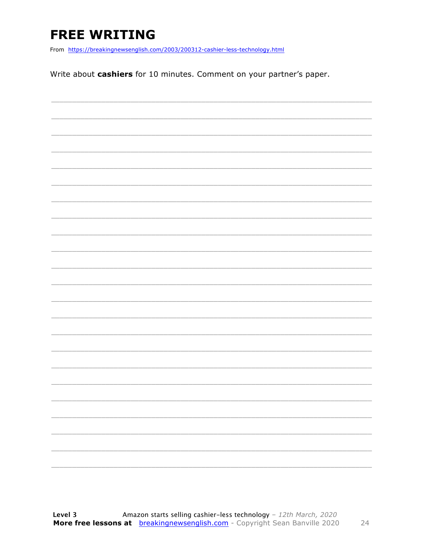### **FREE WRITING**

From https://breakingnewsenglish.com/2003/200312-cashier-less-technology.html

Write about cashiers for 10 minutes. Comment on your partner's paper.

| <u> 2003 - Johann Stoff, Amerikaansk politiker (d. 1982)</u> |  |  |  |
|--------------------------------------------------------------|--|--|--|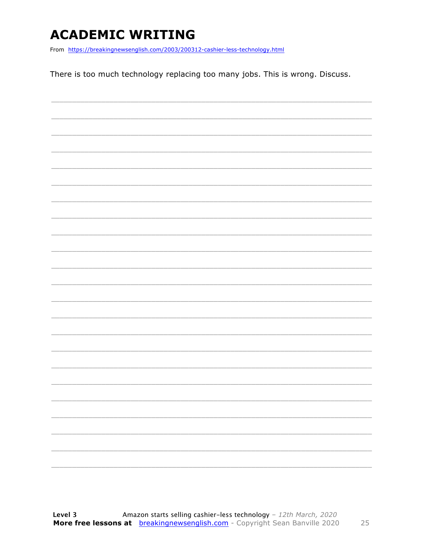### **ACADEMIC WRITING**

From https://breakingnewsenglish.com/2003/200312-cashier-less-technology.html

There is too much technology replacing too many jobs. This is wrong. Discuss.

|  |  | -                        |
|--|--|--------------------------|
|  |  | $\overline{\phantom{0}}$ |
|  |  |                          |
|  |  |                          |
|  |  |                          |
|  |  |                          |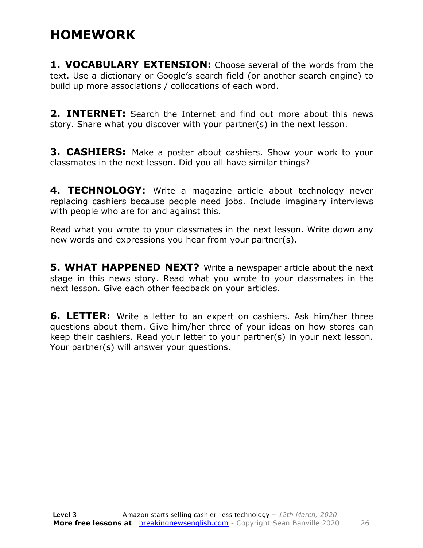### **HOMEWORK**

**1. VOCABULARY EXTENSION:** Choose several of the words from the text. Use a dictionary or Google's search field (or another search engine) to build up more associations / collocations of each word.

**2. INTERNET:** Search the Internet and find out more about this news story. Share what you discover with your partner(s) in the next lesson.

**3. CASHIERS:** Make a poster about cashiers. Show your work to your classmates in the next lesson. Did you all have similar things?

**4. TECHNOLOGY:** Write a magazine article about technology never replacing cashiers because people need jobs. Include imaginary interviews with people who are for and against this.

Read what you wrote to your classmates in the next lesson. Write down any new words and expressions you hear from your partner(s).

**5. WHAT HAPPENED NEXT?** Write a newspaper article about the next stage in this news story. Read what you wrote to your classmates in the next lesson. Give each other feedback on your articles.

**6. LETTER:** Write a letter to an expert on cashiers. Ask him/her three questions about them. Give him/her three of your ideas on how stores can keep their cashiers. Read your letter to your partner(s) in your next lesson. Your partner(s) will answer your questions.